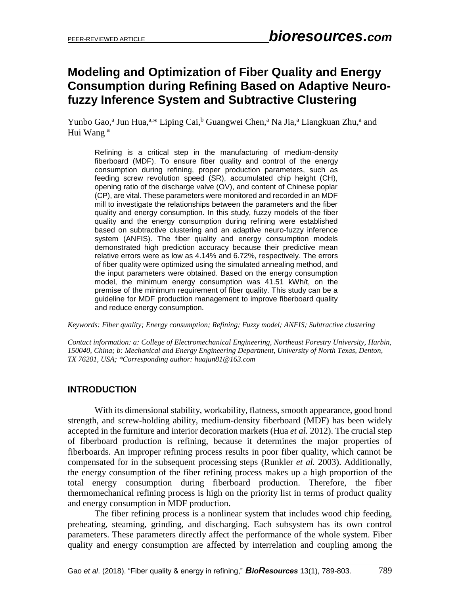# **Modeling and Optimization of Fiber Quality and Energy Consumption during Refining Based on Adaptive Neurofuzzy Inference System and Subtractive Clustering**

Yunbo Gao,<sup>a</sup> Jun Hua,<sup>a,\*</sup> Liping Cai,<sup>b</sup> Guangwei Chen,<sup>a</sup> Na Jia,<sup>a</sup> Liangkuan Zhu,<sup>a</sup> and Hui Wang<sup>a</sup>

Refining is a critical step in the manufacturing of medium-density fiberboard (MDF). To ensure fiber quality and control of the energy consumption during refining, proper production parameters, such as feeding screw revolution speed (SR), accumulated chip height (CH), opening ratio of the discharge valve (OV), and content of Chinese poplar (CP), are vital. These parameters were monitored and recorded in an MDF mill to investigate the relationships between the parameters and the fiber quality and energy consumption. In this study, fuzzy models of the fiber quality and the energy consumption during refining were established based on subtractive clustering and an adaptive neuro-fuzzy inference system (ANFIS). The fiber quality and energy consumption models demonstrated high prediction accuracy because their predictive mean relative errors were as low as 4.14% and 6.72%, respectively. The errors of fiber quality were optimized using the simulated annealing method, and the input parameters were obtained. Based on the energy consumption model, the minimum energy consumption was 41.51 kWh/t, on the premise of the minimum requirement of fiber quality. This study can be a guideline for MDF production management to improve fiberboard quality and reduce energy consumption.

*Keywords: Fiber quality; Energy consumption; Refining; Fuzzy model; ANFIS; Subtractive clustering*

*Contact information: a: College of Electromechanical Engineering, Northeast Forestry University, Harbin, 150040, China; b: Mechanical and Energy Engineering Department, University of North Texas, Denton, TX 76201, USA; \*Corresponding author: huajun81@163.com* 

# **INTRODUCTION**

With its dimensional stability, workability, flatness, smooth appearance, good bond strength, and screw-holding ability, medium-density fiberboard (MDF) has been widely accepted in the furniture and interior decoration markets (Hua *et al.* 2012). The crucial step of fiberboard production is refining, because it determines the major properties of fiberboards. An improper refining process results in poor fiber quality, which cannot be compensated for in the subsequent processing steps (Runkler *et al.* 2003). Additionally, the energy consumption of the fiber refining process makes up a high proportion of the total energy consumption during fiberboard production. Therefore, the fiber thermomechanical refining process is high on the priority list in terms of product quality and energy consumption in MDF production.

The fiber refining process is a nonlinear system that includes wood chip feeding, preheating, steaming, grinding, and discharging. Each subsystem has its own control parameters. These parameters directly affect the performance of the whole system. Fiber quality and energy consumption are affected by interrelation and coupling among the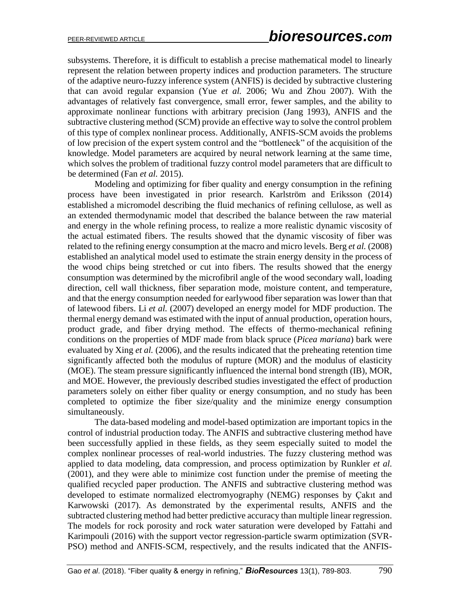subsystems. Therefore, it is difficult to establish a precise mathematical model to linearly represent the relation between property indices and production parameters. The structure of the adaptive neuro-fuzzy inference system (ANFIS) is decided by subtractive clustering that can avoid regular expansion (Yue *et al.* 2006; Wu and Zhou 2007). With the advantages of relatively fast convergence, small error, fewer samples, and the ability to approximate nonlinear functions with arbitrary precision (Jang 1993), ANFIS and the subtractive clustering method (SCM) provide an effective way to solve the control problem of this type of complex nonlinear process. Additionally, ANFIS-SCM avoids the problems of low precision of the expert system control and the "bottleneck" of the acquisition of the knowledge. Model parameters are acquired by neural network learning at the same time, which solves the problem of traditional fuzzy control model parameters that are difficult to be determined (Fan *et al.* 2015).

Modeling and optimizing for fiber quality and energy consumption in the refining process have been investigated in prior research. Karlström and Eriksson (2014) established a micromodel describing the fluid mechanics of refining cellulose, as well as an extended thermodynamic model that described the balance between the raw material and energy in the whole refining process, to realize a more realistic dynamic viscosity of the actual estimated fibers. The results showed that the dynamic viscosity of fiber was related to the refining energy consumption at the macro and micro levels. Berg *et al.* (2008) established an analytical model used to estimate the strain energy density in the process of the wood chips being stretched or cut into fibers. The results showed that the energy consumption was determined by the microfibril angle of the wood secondary wall, loading direction, cell wall thickness, fiber separation mode, moisture content, and temperature, and that the energy consumption needed for earlywood fiber separation was lower than that of latewood fibers. Li *et al.* (2007) developed an energy model for MDF production. The thermal energy demand was estimated with the input of annual production, operation hours, product grade, and fiber drying method. The effects of thermo-mechanical refining conditions on the properties of MDF made from black spruce (*Picea mariana*) bark were evaluated by Xing *et al.* (2006), and the results indicated that the preheating retention time significantly affected both the modulus of rupture (MOR) and the modulus of elasticity (MOE). The steam pressure significantly influenced the internal bond strength (IB), MOR, and MOE. However, the previously described studies investigated the effect of production parameters solely on either fiber quality or energy consumption, and no study has been completed to optimize the fiber size/quality and the minimize energy consumption simultaneously.

The data-based modeling and model-based optimization are important topics in the control of industrial production today. The ANFIS and subtractive clustering method have been successfully applied in these fields, as they seem especially suited to model the complex nonlinear processes of real-world industries. The fuzzy clustering method was applied to data modeling, data compression, and process optimization by Runkler *et al.* (2001), and they were able to minimize cost function under the premise of meeting the qualified recycled paper production. The ANFIS and subtractive clustering method was developed to estimate normalized electromyography (NEMG) responses by Çakıt and Karwowski (2017). As demonstrated by the experimental results, ANFIS and the subtracted clustering method had better predictive accuracy than multiple linear regression. The models for rock porosity and rock water saturation were developed by Fattahi and Karimpouli (2016) with the support vector regression-particle swarm optimization (SVR-PSO) method and ANFIS-SCM, respectively, and the results indicated that the ANFIS-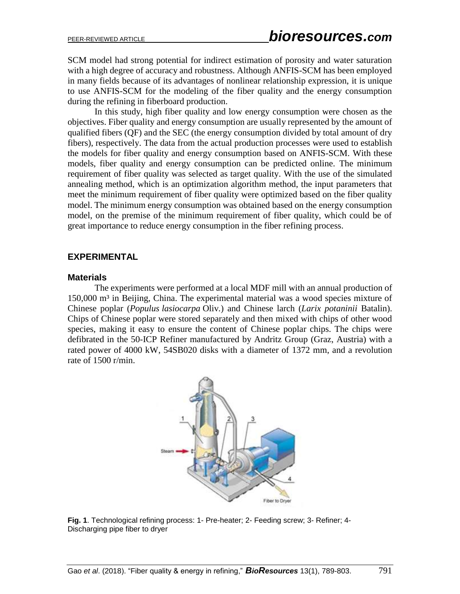SCM model had strong potential for indirect estimation of porosity and water saturation with a high degree of accuracy and robustness. Although ANFIS-SCM has been employed in many fields because of its advantages of nonlinear relationship expression, it is unique to use ANFIS-SCM for the modeling of the fiber quality and the energy consumption during the refining in fiberboard production.

In this study, high fiber quality and low energy consumption were chosen as the objectives. Fiber quality and energy consumption are usually represented by the amount of qualified fibers (QF) and the SEC (the energy consumption divided by total amount of dry fibers), respectively. The data from the actual production processes were used to establish the models for fiber quality and energy consumption based on ANFIS-SCM. With these models, fiber quality and energy consumption can be predicted online. The minimum requirement of fiber quality was selected as target quality. With the use of the simulated annealing method, which is an optimization algorithm method, the input parameters that meet the minimum requirement of fiber quality were optimized based on the fiber quality model. The minimum energy consumption was obtained based on the energy consumption model, on the premise of the minimum requirement of fiber quality, which could be of great importance to reduce energy consumption in the fiber refining process.

## **EXPERIMENTAL**

#### **Materials**

The experiments were performed at a local MDF mill with an annual production of 150,000 m³ in Beijing, China. The experimental material was a wood species mixture of Chinese poplar (*Populus lasiocarpa* Oliv*.*) and Chinese larch (*Larix potaninii* Batalin). Chips of Chinese poplar were stored separately and then mixed with chips of other wood species, making it easy to ensure the content of Chinese poplar chips. The chips were defibrated in the 50-ICP Refiner manufactured by Andritz Group (Graz, Austria) with a rated power of 4000 kW, 54SB020 disks with a diameter of 1372 mm, and a revolution rate of 1500 r/min.



**Fig. 1**. Technological refining process: 1- Pre-heater; 2- Feeding screw; 3- Refiner; 4- Discharging pipe fiber to dryer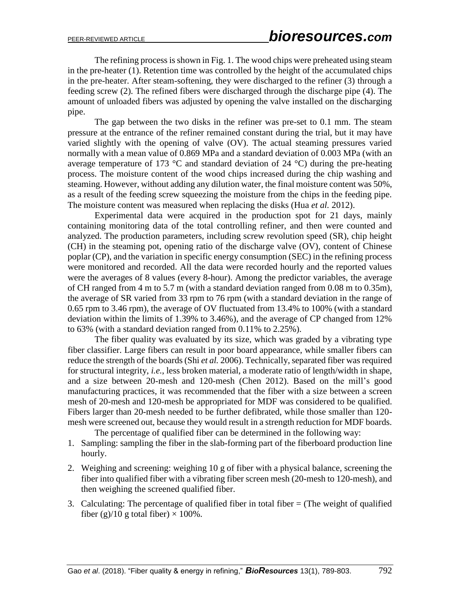The refining process is shown in Fig. 1. The wood chips were preheated using steam in the pre-heater (1). Retention time was controlled by the height of the accumulated chips in the pre-heater. After steam-softening, they were discharged to the refiner (3) through a feeding screw (2). The refined fibers were discharged through the discharge pipe (4). The amount of unloaded fibers was adjusted by opening the valve installed on the discharging pipe.

The gap between the two disks in the refiner was pre-set to 0.1 mm. The steam pressure at the entrance of the refiner remained constant during the trial, but it may have varied slightly with the opening of valve (OV). The actual steaming pressures varied normally with a mean value of 0.869 MPa and a standard deviation of 0.003 MPa (with an average temperature of 173  $\degree$ C and standard deviation of 24  $\degree$ C) during the pre-heating process. The moisture content of the wood chips increased during the chip washing and steaming. However, without adding any dilution water, the final moisture content was 50%, as a result of the feeding screw squeezing the moisture from the chips in the feeding pipe. The moisture content was measured when replacing the disks (Hua *et al.* 2012).

Experimental data were acquired in the production spot for 21 days, mainly containing monitoring data of the total controlling refiner, and then were counted and analyzed. The production parameters, including screw revolution speed (SR), chip height (CH) in the steaming pot, opening ratio of the discharge valve (OV), content of Chinese poplar (CP), and the variation in specific energy consumption (SEC) in the refining process were monitored and recorded. All the data were recorded hourly and the reported values were the averages of 8 values (every 8-hour). Among the predictor variables, the average of CH ranged from 4 m to 5.7 m (with a standard deviation ranged from 0.08 m to 0.35m), the average of SR varied from 33 rpm to 76 rpm (with a standard deviation in the range of 0.65 rpm to 3.46 rpm), the average of OV fluctuated from 13.4% to 100% (with a standard deviation within the limits of 1.39% to 3.46%), and the average of CP changed from 12% to 63% (with a standard deviation ranged from 0.11% to 2.25%).

The fiber quality was evaluated by its size, which was graded by a vibrating type fiber classifier. Large fibers can result in poor board appearance, while smaller fibers can reduce the strength of the boards (Shi *et al.* 2006). Technically, separated fiber was required for structural integrity, *i.e.*, less broken material, a moderate ratio of length/width in shape, and a size between 20-mesh and 120-mesh (Chen 2012). Based on the mill's good manufacturing practices, it was recommended that the fiber with a size between a screen mesh of 20-mesh and 120-mesh be appropriated for MDF was considered to be qualified. Fibers larger than 20-mesh needed to be further defibrated, while those smaller than 120 mesh were screened out, because they would result in a strength reduction for MDF boards. The percentage of qualified fiber can be determined in the following way:

1. Sampling: sampling the fiber in the slab-forming part of the fiberboard production line hourly.

- 2. Weighing and screening: weighing 10 g of fiber with a physical balance, screening the fiber into qualified fiber with a vibrating fiber screen mesh (20-mesh to 120-mesh), and then weighing the screened qualified fiber.
- 3. Calculating: The percentage of qualified fiber in total fiber  $=$  (The weight of qualified fiber (g)/10 g total fiber)  $\times$  100%.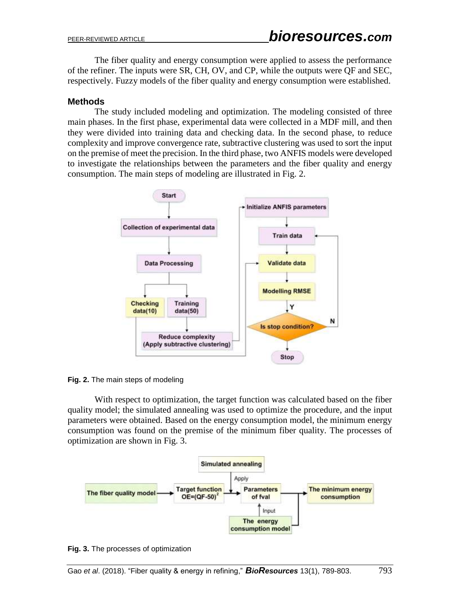The fiber quality and energy consumption were applied to assess the performance of the refiner. The inputs were SR, CH, OV, and CP, while the outputs were QF and SEC, respectively. Fuzzy models of the fiber quality and energy consumption were established.

## **Methods**

The study included modeling and optimization. The [modeling](file:///D:/Youdao/Dict/7.1.0.0421/resultui/dict/) consisted of three main phases. In the first phase, experimental data were collected in a MDF mill, and then they were divided into training data and checking data. In the second phase, to reduce complexity and improve convergence rate, subtractive clustering was used to sort the input on the premise of meet the precision. In the third phase, two ANFIS models were developed to investigate the relationships between the parameters and the fiber quality and energy consumption. The main steps of modeling are illustrated in Fig. 2.



**Fig. 2.** The main steps of [modeling](file:///D:/Youdao/Dict/7.1.0.0421/resultui/dict/)

With respect to optimization, the target function was calculated based on the fiber quality model; the simulated annealing was used to optimize the procedure, and the input parameters were obtained. Based on the energy consumption model, the minimum energy consumption was found on the premise of the minimum fiber quality. The processes of optimization are shown in Fig. 3.



**Fig. 3.** The processes of optimization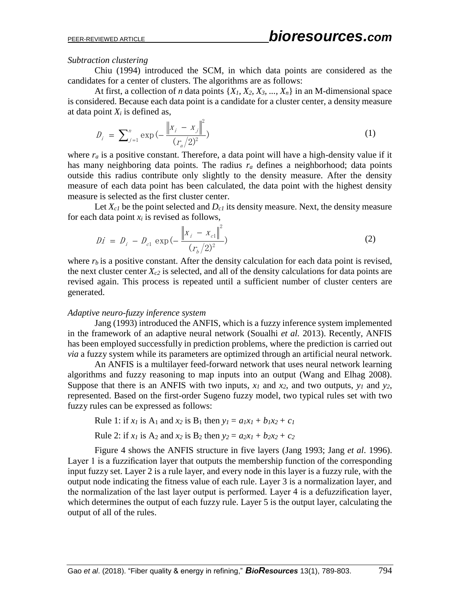### *Subtraction clustering*

Chiu (1994) introduced the SCM, in which data points are considered as the candidates for a center of clusters. The algorithms are as follows:

At first, a collection of *n* data points  $\{X_1, X_2, X_3, \ldots, X_n\}$  in an M-dimensional space is considered. Because each data point is a candidate for a cluster center, a density measure at data point  $X_i$  is defined as,

$$
D_i = \sum_{j=1}^n \exp\left(-\frac{\left\|x_j - x_j\right\|^2}{(r_a/2)^2}\right) \tag{1}
$$

where  $r_a$  is a positive constant. Therefore, a data point will have a high-density value if it has many neighboring data points. The radius *r<sup>a</sup>* defines a neighborhood; data points outside this radius contribute only slightly to the density measure. After the density measure of each data point has been calculated, the data point with the highest density measure is selected as the first cluster center.

Let  $X_{c1}$  be the point selected and  $D_{c1}$  its density measure. Next, the density measure for each data point  $x_i$  is revised as follows,

$$
Di = D_i - D_{c1} \exp(-\frac{\left\|x_i - x_{c1}\right\|^2}{(r_b/2)^2})
$$
 (2)

where  $r_b$  is a positive constant. After the density calculation for each data point is revised, the next cluster center  $X_c$ <sub>2</sub> is selected, and all of the density calculations for data points are revised again. This process is repeated until a sufficient number of cluster centers are generated.

#### *Adaptive neuro-fuzzy inference system*

Jang (1993) introduced the ANFIS, which is a fuzzy inference system implemented in the framework of an adaptive neural network (Soualhi *et al.* 2013). Recently, ANFIS has been employed successfully in prediction problems, where the prediction is carried out *via* a fuzzy system while its parameters are optimized through an artificial neural network.

An ANFIS is a multilayer feed-forward network that uses neural network learning algorithms and fuzzy reasoning to map inputs into an output (Wang and Elhag 2008). Suppose that there is an ANFIS with two inputs,  $x_1$  and  $x_2$ , and two outputs,  $y_1$  and  $y_2$ , represented. Based on the first-order Sugeno fuzzy model, two typical rules set with two fuzzy rules can be expressed as follows:

Rule 1: if 
$$
x_l
$$
 is  $A_1$  and  $x_2$  is  $B_1$  then  $y_l = a_l x_l + b_l x_2 + c_l$ 

Rule 2: if  $x_1$  is  $A_2$  and  $x_2$  is  $B_2$  then  $y_2 = a_2x_1 + b_2x_2 + c_2$ 

Figure 4 shows the ANFIS structure in five layers (Jang 1993; Jang *et al*. 1996). Layer 1 is a fuzzification layer that outputs the membership function of the corresponding input fuzzy set. Layer 2 is a rule layer, and every node in this layer is a fuzzy rule, with the output node indicating the fitness value of each rule. Layer 3 is a normalization layer, and the normalization of the last layer output is performed. Layer 4 is a defuzzification layer, which determines the output of each fuzzy rule. Layer 5 is the output layer, calculating the output of all of the rules.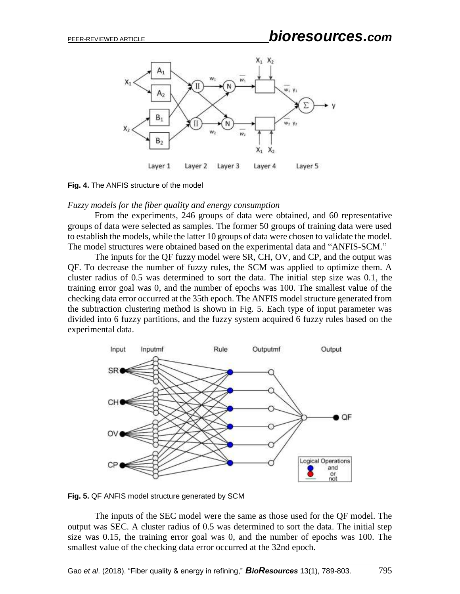

**Fig. 4.** The ANFIS structure of the model

#### *Fuzzy models for the fiber quality and energy consumption*

From the experiments, 246 groups of data were obtained, and 60 representative groups of data were selected as samples. The former 50 groups of training data were used to establish the models, while the latter 10 groups of data were chosen to validate the model. The model structures were obtained based on the experimental data and "ANFIS-SCM."

The inputs for the QF fuzzy model were SR, CH, OV, and CP, and the output was QF. To decrease the number of fuzzy rules, the SCM was applied to optimize them. A cluster radius of 0.5 was determined to sort the data. The initial step size was 0.1, the training error goal was 0, and the number of epochs was 100. The smallest value of the checking data error occurred at the 35th epoch. The ANFIS model structure generated from the subtraction clustering method is shown in Fig. 5. Each type of input parameter was divided into 6 fuzzy partitions, and the fuzzy system acquired 6 fuzzy rules based on the experimental data.



**Fig. 5.** QF ANFIS model structure generated by SCM

The inputs of the SEC model were the same as those used for the QF model. The output was SEC. A cluster radius of 0.5 was determined to sort the data. The initial step size was 0.15, the training error goal was 0, and the number of epochs was 100. The smallest value of the checking data error occurred at the 32nd epoch.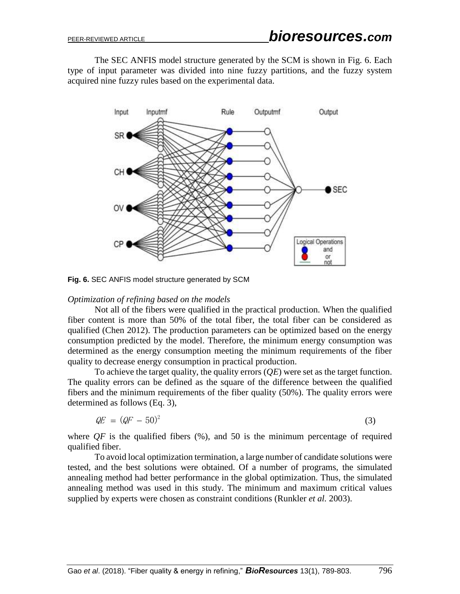The SEC ANFIS model structure generated by the SCM is shown in Fig. 6. Each type of input parameter was divided into nine fuzzy partitions, and the fuzzy system acquired nine fuzzy rules based on the experimental data.



**Fig. 6.** SEC ANFIS model structure generated by SCM

### *Optimization of refining based on the models*

Not all of the fibers were qualified in the practical production. When the qualified fiber content is more than 50% of the total fiber, the total fiber can be considered as qualified (Chen 2012). The production parameters can be optimized based on the energy consumption predicted by the model. Therefore, the minimum energy consumption was determined as the energy consumption meeting the minimum requirements of the fiber quality to decrease energy consumption in practical production.

To achieve the target quality, the quality errors (*QE*) were set as the target function. The quality errors can be defined as the square of the difference between the qualified fibers and the minimum requirements of the fiber quality (50%). The quality errors were determined as follows (Eq. 3),

$$
QE = (QF - 50)^2 \tag{3}
$$

where  $QF$  is the qualified fibers  $(\%)$ , and 50 is the minimum percentage of required qualified fiber.

To avoid local optimization termination, a large number of candidate solutions were tested, and the best solutions were obtained. Of a number of programs, the simulated annealing method had better performance in the global optimization. Thus, the simulated annealing method was used in this study. The minimum and maximum critical values supplied by experts were chosen as constraint conditions (Runkler *et al.* 2003).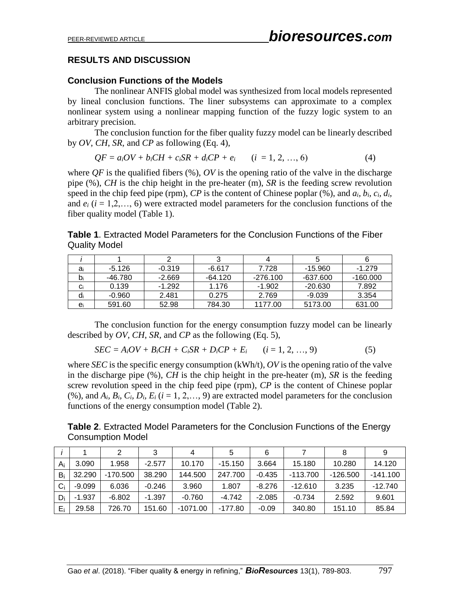# **RESULTS AND DISCUSSION**

## **Conclusion Functions of the Models**

The nonlinear ANFIS global model was synthesized from local models represented by lineal conclusion functions. The liner subsystems can approximate to a complex nonlinear system using a nonlinear mapping function of the fuzzy logic system to an arbitrary precision.

The conclusion function for the fiber quality fuzzy model can be linearly described by *OV*, *CH*, *SR*, and *CP* as following (Eq. 4),

$$
QF = aiOV + biCH + ciSR + diCP + ei \t (i = 1, 2, ..., 6)
$$
 (4)

where  $QF$  is the qualified fibers  $(\%)$ ,  $OV$  is the opening ratio of the valve in the discharge pipe (%), *CH* is the chip height in the pre-heater (m), *SR* is the feeding screw revolution speed in the chip feed pipe (rpm), *CP* is the content of Chinese poplar  $(\%)$ , and  $a_i$ ,  $b_i$ ,  $c_i$ ,  $d_i$ and  $e_i$  ( $i = 1, 2, \ldots, 6$ ) were extracted model parameters for the conclusion functions of the fiber quality model (Table 1).

**Table 1**. Extracted Model Parameters for the Conclusion Functions of the Fiber Quality Model

| ai | -5.126   | $-0.319$ | $-6.617$  | 7.728    | -15.960   | $-1.279$   |
|----|----------|----------|-----------|----------|-----------|------------|
| bi | -46.780  | $-2.669$ | $-64.120$ | -276.100 | -637.600  | $-160.000$ |
| Ci | 0.139    | $-1.292$ | 1.176     | $-1.902$ | $-20.630$ | 7.892      |
| ai | $-0.960$ | 2.481    | 0.275     | 2.769    | $-9.039$  | 3.354      |
| ei | 591.60   | 52.98    | 784.30    | 1177.00  | 5173.00   | 631.00     |

The conclusion function for the energy consumption fuzzy model can be linearly described by *OV*, *CH*, *SR,* and *CP* as the following (Eq. 5),

$$
SEC = AiOV + BiCH + CiSR + DiCP + Ei \t (i = 1, 2, ..., 9)
$$
 (5)

where *SEC* is the specific energy consumption (kWh/t), *OV* is the opening ratio of the valve in the discharge pipe (%), *CH* is the chip height in the pre-heater (m), *SR* is the feeding screw revolution speed in the chip feed pipe (rpm), *CP* is the content of Chinese poplar (%), and  $A_i$ ,  $B_i$ ,  $C_i$ ,  $D_i$ ,  $E_i$  ( $i = 1, 2, \ldots, 9$ ) are extracted model parameters for the conclusion functions of the energy consumption model (Table 2).

**Table 2**. Extracted Model Parameters for the Conclusion Functions of the Energy Consumption Model

|       |          | 2          | 3        | 4          | 5         | 6        |            | 8          |            |
|-------|----------|------------|----------|------------|-----------|----------|------------|------------|------------|
| $A_i$ | 3.090    | 1.958      | $-2.577$ | 10.170     | $-15.150$ | 3.664    | 15.180     | 10.280     | 14.120     |
| $B_i$ | 32.290   | $-170.500$ | 38.290   | 144.500    | 247.700   | $-0.435$ | $-113.700$ | $-126.500$ | $-141.100$ |
| $C_i$ | $-9.099$ | 6.036      | $-0.246$ | 3.960      | 1.807     | $-8.276$ | $-12.610$  | 3.235      | $-12.740$  |
| Di    | $-1.937$ | $-6.802$   | $-1.397$ | $-0.760$   | $-4.742$  | $-2.085$ | -0.734     | 2.592      | 9.601      |
| $E_i$ | 29.58    | 726.70     | 151.60   | $-1071.00$ | $-177.80$ | $-0.09$  | 340.80     | 151.10     | 85.84      |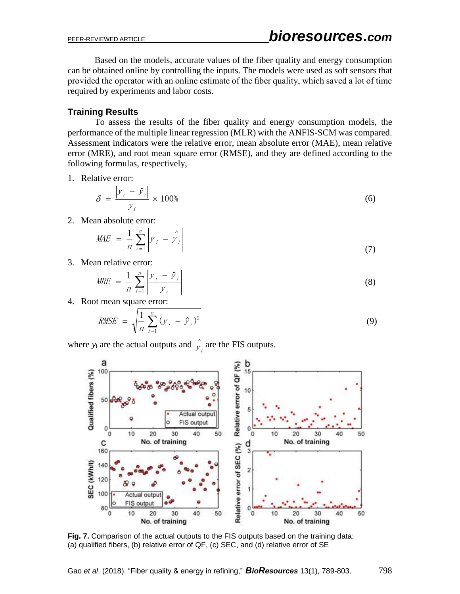Based on the models, accurate values of the fiber quality and energy consumption can be obtained online by controlling the inputs. The models were used as soft sensors that provided the operator with an online estimate of the fiber quality, which saved a lot of time required by experiments and labor costs.

# **Training Results**

To assess the results of the fiber quality and energy consumption models, the performance of the multiple linear regression (MLR) with the ANFIS-SCM was compared. Assessment indicators were the relative error, mean absolute error (MAE), mean relative error (MRE), and root mean square error (RMSE), and they are defined according to the following formulas, respectively,

1. Relative error:

$$
\delta = \frac{|y_i - \hat{y}_i|}{y_i} \times 100\% \tag{6}
$$

2. Mean absolute error:

$$
MAE = \frac{1}{n} \sum_{i=1}^{n} \left| y_i - \hat{y_i} \right| \tag{7}
$$

3. Mean relative error:

$$
MRE = \frac{1}{n} \sum_{i=1}^{n} \left| \frac{y_i - \hat{y}_i}{y_i} \right| \tag{8}
$$

4. Root mean square error:

$$
RMSE = \sqrt{\frac{1}{n} \sum_{i=1}^{n} (y_i - \hat{y}_i)^2}
$$
(9)

where  $y_i$  are the actual outputs and  $\hat{y}$  $\hat{y}_i$  are the FIS outputs.



**Fig. 7.** Comparison of the actual outputs to the FIS outputs based on the training data: (a) qualified fibers, (b) relative error of QF, (c) SEC, and (d) relative error of SE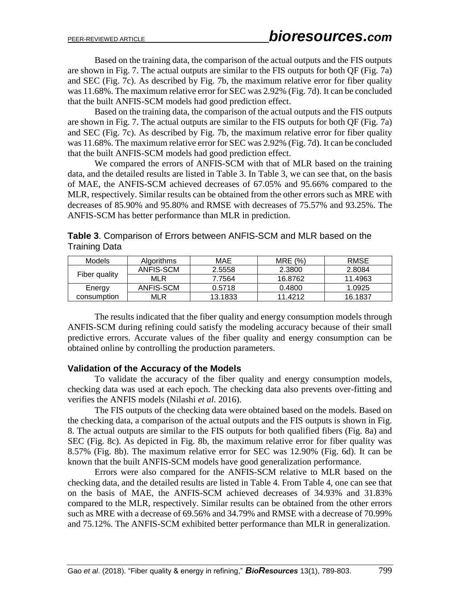Based on the training data, the comparison of the actual outputs and the FIS outputs are shown in Fig. 7. The actual outputs are similar to the FIS outputs for both QF (Fig. 7a) and SEC (Fig. 7c). As described by Fig. 7b, the maximum relative error for fiber quality was 11.68%. The maximum relative error for SEC was 2.92% (Fig. 7d). It can be concluded that the built ANFIS-SCM models had good prediction effect.

Based on the training data, the comparison of the actual outputs and the FIS outputs are shown in Fig. 7. The actual outputs are similar to the FIS outputs for both QF (Fig. 7a) and SEC (Fig. 7c). As described by Fig. 7b, the maximum relative error for fiber quality was 11.68%. The maximum relative error for SEC was 2.92% (Fig. 7d). It can be concluded that the built ANFIS-SCM models had good prediction effect.

We compared the errors of ANFIS-SCM with that of MLR based on the training data, and the detailed results are listed in Table 3. In Table 3, we can see that, on the basis of MAE, the ANFIS-SCM achieved decreases of 67.05% and 95.66% compared to the MLR, respectively. Similar results can be obtained from the other errors such as MRE with decreases of 85.90% and 95.80% and RMSE with decreases of 75.57% and 93.25%. The ANFIS-SCM has better performance than MLR in prediction.

| Table 3. Comparison of Errors between ANFIS-SCM and MLR based on the |  |
|----------------------------------------------------------------------|--|
| Training Data                                                        |  |

| Models        | Algorithms | MAE     | MRE (%) | <b>RMSE</b> |
|---------------|------------|---------|---------|-------------|
|               | ANFIS-SCM  | 2.5558  | 2.3800  | 2.8084      |
| Fiber quality | MLR        | 7.7564  | 16.8762 |             |
| Energy        | ANFIS-SCM  | 0.5718  | 0.4800  | 1.0925      |
| consumption   | MLR        | 13.1833 | 11.4212 | 16.1837     |

The results indicated that the fiber quality and energy consumption models through ANFIS-SCM during refining could satisfy the modeling accuracy because of their small predictive errors. Accurate values of the fiber quality and energy consumption can be obtained online by controlling the production parameters.

### **Validation of the Accuracy of the Models**

To validate the accuracy of the fiber quality and energy consumption models, checking data was used at each epoch. The checking data also prevents over-fitting and verifies the ANFIS models (Nilashi *et al*. 2016).

The FIS outputs of the checking data were obtained based on the models. Based on the checking data, a comparison of the actual outputs and the FIS outputs is shown in Fig. 8. The actual outputs are similar to the FIS outputs for both qualified fibers (Fig. 8a) and SEC (Fig. 8c). As depicted in Fig. 8b, the maximum relative error for fiber quality was 8.57% (Fig. 8b). The maximum relative error for SEC was 12.90% (Fig. 6d). It can be known that the built ANFIS-SCM models have good generalization performance.

Errors were also compared for the ANFIS-SCM relative to MLR based on the checking data, and the detailed results are listed in Table 4. From Table 4, one can see that on the basis of MAE, the ANFIS-SCM achieved decreases of 34.93% and 31.83% compared to the MLR, respectively. Similar results can be obtained from the other errors such as MRE with a decrease of 69.56% and 34.79% and RMSE with a decrease of 70.99% and 75.12%. The ANFIS-SCM exhibited better performance than MLR in generalization.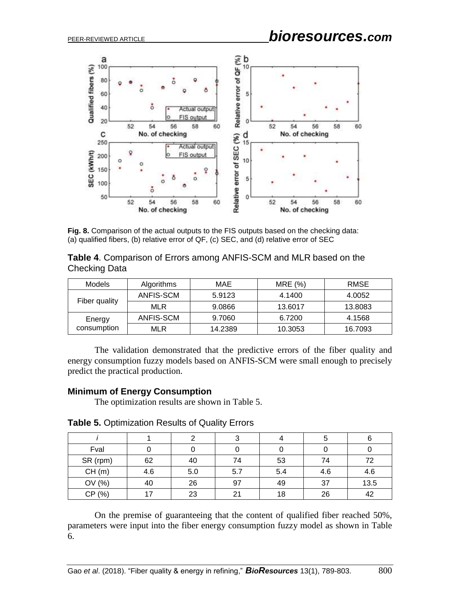

**Fig. 8.** Comparison of the actual outputs to the FIS outputs based on the checking data: (a) qualified fibers, (b) relative error of QF, (c) SEC, and (d) relative error of SEC

| Table 4. Comparison of Errors among ANFIS-SCM and MLR based on the |  |
|--------------------------------------------------------------------|--|
| <b>Checking Data</b>                                               |  |

| Models        | Algorithms | MAE     | MRE (%) | RMSE    |
|---------------|------------|---------|---------|---------|
|               | ANFIS-SCM  | 5.9123  | 4.1400  | 4.0052  |
| Fiber quality | <b>MLR</b> | 9.0866  | 13.6017 | 13.8083 |
| Energy        | ANFIS-SCM  | 9.7060  | 6.7200  | 4.1568  |
| consumption   | MLR        | 14.2389 | 10.3053 | 16.7093 |

The validation demonstrated that the predictive errors of the fiber quality and energy consumption fuzzy models based on ANFIS-SCM were small enough to precisely predict the practical production.

# **Minimum of Energy Consumption**

The optimization results are shown in Table 5.

| Table 5. Optimization Results of Quality Errors |  |
|-------------------------------------------------|--|
|-------------------------------------------------|--|

|           |     |     |     |     | G   |      |
|-----------|-----|-----|-----|-----|-----|------|
| Fval      |     |     |     |     |     |      |
| SR (rpm)  | 62  | 40  | 74  | 53  | 74  | 72   |
| CH(m)     | 4.6 | 5.0 | 5.7 | 5.4 | 4.6 | 4.6  |
| OV (%)    | 40  | 26  | 97  | 49  | 37  | 13.5 |
| (%)<br>СP | 17  | 23  | 21  | 18  | 26  | 42   |

On the premise of guaranteeing that the content of qualified fiber reached 50%, parameters were input into the fiber energy consumption fuzzy model as shown in Table 6.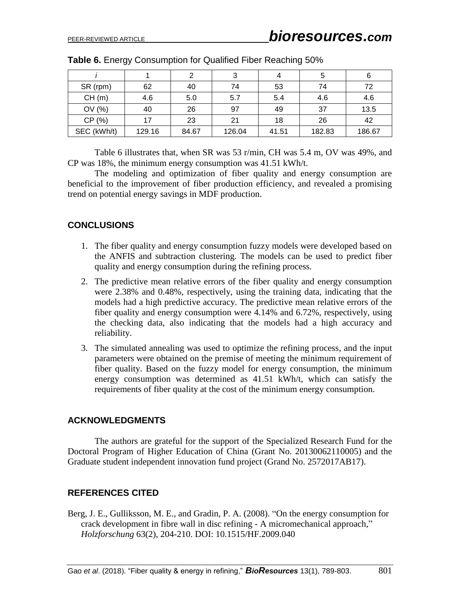|             |        | 2     | 3      |       | 5      | 6      |
|-------------|--------|-------|--------|-------|--------|--------|
| SR (rpm)    | 62     | 40    | 74     | 53    | 74     | 72     |
| CH(m)       | 4.6    | 5.0   | 5.7    | 5.4   | 4.6    | 4.6    |
| OV(%)       | 40     | 26    | 97     | 49    | 37     | 13.5   |
| CP (%)      | 17     | 23    | 21     | 18    | 26     | 42     |
| SEC (kWh/t) | 129.16 | 84.67 | 126.04 | 41.51 | 182.83 | 186.67 |

**Table 6.** Energy Consumption for Qualified Fiber Reaching 50%

Table 6 illustrates that, when SR was 53 r/min, CH was 5.4 m, OV was 49%, and CP was 18%, the minimum energy consumption was 41.51 kWh/t.

The modeling and optimization of fiber quality and energy consumption are beneficial to the improvement of fiber production efficiency, and revealed a promising trend on potential energy savings in MDF production.

### **CONCLUSIONS**

- 1. The fiber quality and energy consumption fuzzy models were developed based on the ANFIS and subtraction clustering. The models can be used to predict fiber quality and energy consumption during the refining process.
- 2. The predictive mean relative errors of the fiber quality and energy consumption were 2.38% and 0.48%, respectively, using the training data, indicating that the models had a high predictive accuracy. The predictive mean relative errors of the fiber quality and energy consumption were 4.14% and 6.72%, respectively, using the checking data, also indicating that the models had a high accuracy and reliability.
- 3. The simulated annealing was used to optimize the refining process, and the input parameters were obtained on the premise of meeting the minimum requirement of fiber quality. Based on the fuzzy model for energy consumption, the minimum energy consumption was determined as 41.51 kWh/t, which can satisfy the requirements of fiber quality at the cost of the minimum energy consumption.

### **ACKNOWLEDGMENTS**

The authors are grateful for the support of the Specialized Research Fund for the Doctoral Program of Higher Education of China (Grant No. 20130062110005) and the Graduate student independent innovation fund project (Grand No. 2572017AB17).

# **REFERENCES CITED**

Berg, J. E., Gulliksson, M. E., and Gradin, P. A. (2008). "On the energy consumption for crack development in fibre wall in disc refining - A micromechanical approach," *Holzforschung* 63(2), 204-210. DOI: 10.1515/HF.2009.040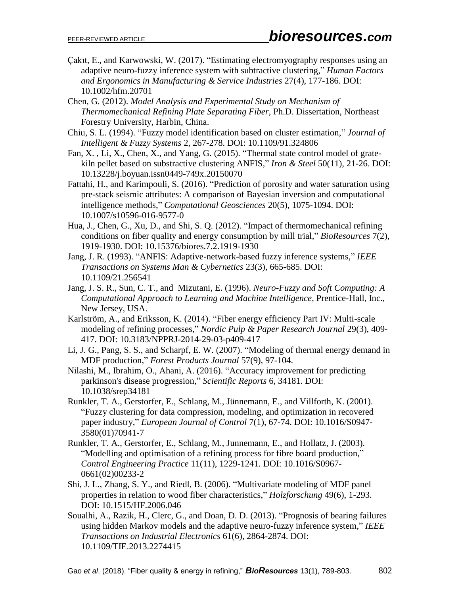- Çakıt, E., and Karwowski, W. (2017). "Estimating electromyography responses using an adaptive neuro-fuzzy inference system with subtractive clustering," *Human Factors and Ergonomics in Manufacturing & Service Industries* 27(4), 177-186. DOI: [10.1002/hfm.20701](https://doi.org/10.1002/hfm.20701)
- Chen, G. (2012). *Model Analysis and Experimental Study on Mechanism of Thermomechanical Refining Plate Separating Fiber*, Ph.D. Dissertation, Northeast Forestry University, Harbin, China.
- Chiu, S. L. (1994). "Fuzzy model identification based on cluster estimation," *Journal of Intelligent & Fuzzy Systems* 2, 267-278. DOI: [10.1109/91.324806](https://doi.org/10.1109/91.324806)
- Fan, X. , Li, X., Chen, X., and Yang, G. (2015). "Thermal state control model of gratekiln pellet based on substractive clustering ANFIS," *Iron & Steel* 50(11), 21-26. DOI: 10.13228/j.boyuan.issn0449-749x.20150070
- Fattahi, H., and Karimpouli, S. (2016). "Prediction of porosity and water saturation using pre-stack seismic attributes: A comparison of Bayesian inversion and computational intelligence methods," *Computational Geosciences* 20(5), 1075-1094. DOI: [10.1007/s10596-016-9577-0](https://doi.org/10.1007/s10596-016-9577-0)
- Hua, J., Chen, G., Xu, D., and Shi, S. Q. (2012). "Impact of thermomechanical refining conditions on fiber quality and energy consumption by mill trial," *BioResources* 7(2), 1919-1930. DOI: 10.15376/biores.7.2.1919-1930
- Jang, J. R. (1993). "ANFIS: Adaptive-network-based fuzzy inference systems," *IEEE Transactions on Systems Man & Cybernetics* 23(3), 665-685. DOI: [10.1109/21.256541](https://doi.org/10.1109/21.256541)
- Jang, J. S. R., Sun, C. T., and Mizutani, E. (1996). *Neuro-Fuzzy and Soft Computing: A Computational Approach to Learning and Machine Intelligence*, Prentice-Hall, Inc., New Jersey, USA.
- Karlström, A., and Eriksson, K. (2014). "Fiber energy efficiency Part IV: Multi-scale modeling of refining processes," *Nordic Pulp & Paper Research Journal* 29(3), 409- 417. DOI: [10.3183/NPPRJ-2014-29-03-p409-417](https://doi.org/10.3183/NPPRJ-2014-29-03-p409-417)
- Li, J. G., Pang, S. S., and Scharpf, E. W. (2007). "Modeling of thermal energy demand in MDF production," *Forest Products Journal* 57(9), 97-104.
- Nilashi, M., Ibrahim, O., Ahani, A. (2016). "Accuracy improvement for predicting parkinson's disease progression," *Scientific Reports* 6, 34181. DOI: 10.1038/srep34181
- Runkler, T. A., Gerstorfer, E., Schlang, M., Jünnemann, E., and Villforth, K. (2001). "Fuzzy clustering for data compression, modeling, and optimization in recovered paper industry," *European Journal of Control* 7(1), 67-74. DOI: [10.1016/S0947-](https://doi.org/10.1016/S0947-3580(01)70941-7) [3580\(01\)70941-7](https://doi.org/10.1016/S0947-3580(01)70941-7)
- Runkler, T. A., Gerstorfer, E., Schlang, M., Junnemann, E., and Hollatz, J. (2003). "Modelling and optimisation of a refining process for fibre board production," *Control Engineering Practice* 11(11), 1229-1241. DOI: [10.1016/S0967-](https://doi.org/10.1016/S0967-0661(02)00233-2) [0661\(02\)00233-2](https://doi.org/10.1016/S0967-0661(02)00233-2)
- Shi, J. L., Zhang, S. Y., and Riedl, B. (2006). "Multivariate modeling of MDF panel properties in relation to wood fiber characteristics," *Holzforschung* 49(6), 1-293[.](https://doi.org/10.1515/HF.2006.046) DOI: [10.1515/HF.2006.046](https://doi.org/10.1515/HF.2006.046)
- Soualhi, A., Razik, H., Clerc, G., and Doan, D. D. (2013). "Prognosis of bearing failures using hidden Markov models and the adaptive neuro-fuzzy inference system," *IEEE Transactions on Industrial Electronics* 61(6), 2864-2874. DOI: [10.1109/TIE.2013.2274415](https://doi.org/10.1109/TIE.2013.2274415)